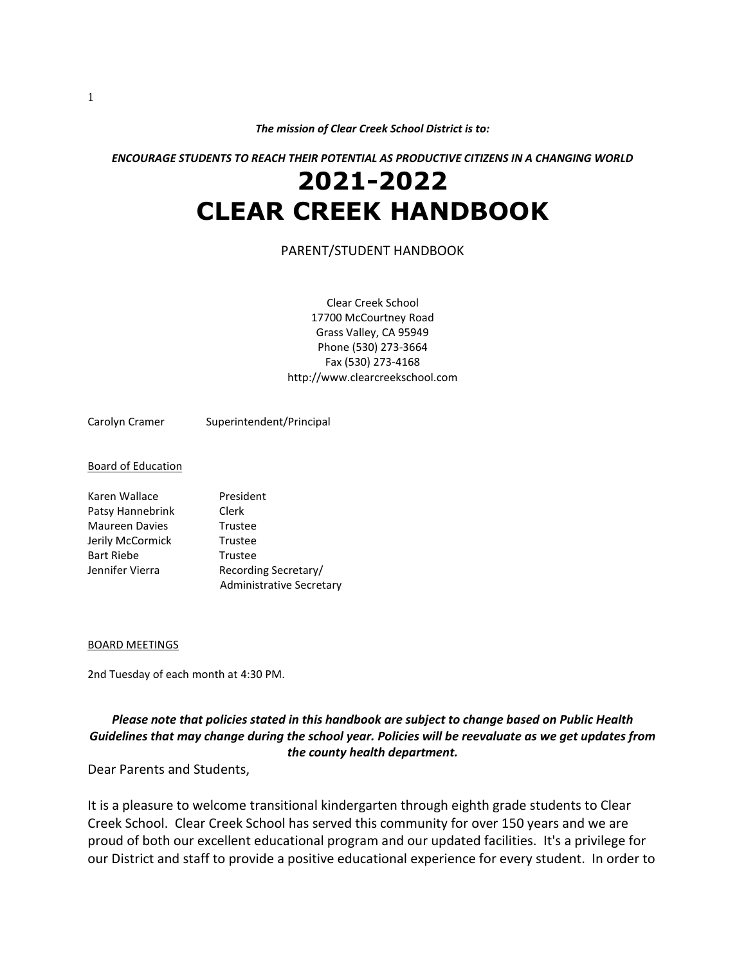*The mission of Clear Creek School District is to:*

*ENCOURAGE STUDENTS TO REACH THEIR POTENTIAL AS PRODUCTIVE CITIZENS IN A CHANGING WORLD*

# **2021-2022 CLEAR CREEK HANDBOOK**

#### PARENT/STUDENT HANDBOOK

Clear Creek School 17700 McCourtney Road Grass Valley, CA 95949 Phone (530) 273-3664 Fax (530) 273-4168 http://www.clearcreekschool.com

Carolyn Cramer Superintendent/Principal

#### Board of Education

| Karen Wallace         | President                       |
|-----------------------|---------------------------------|
| Patsy Hannebrink      | Clerk                           |
| <b>Maureen Davies</b> | Trustee                         |
| Jerily McCormick      | Trustee                         |
| <b>Bart Riebe</b>     | Trustee                         |
| Jennifer Vierra       | Recording Secretary/            |
|                       | <b>Administrative Secretary</b> |

#### BOARD MEETINGS

2nd Tuesday of each month at 4:30 PM.

#### *Please note that policies stated in this handbook are subject to change based on Public Health Guidelines that may change during the school year. Policies will be reevaluate as we get updates from the county health department.*

Dear Parents and Students,

It is a pleasure to welcome transitional kindergarten through eighth grade students to Clear Creek School. Clear Creek School has served this community for over 150 years and we are proud of both our excellent educational program and our updated facilities. It's a privilege for our District and staff to provide a positive educational experience for every student. In order to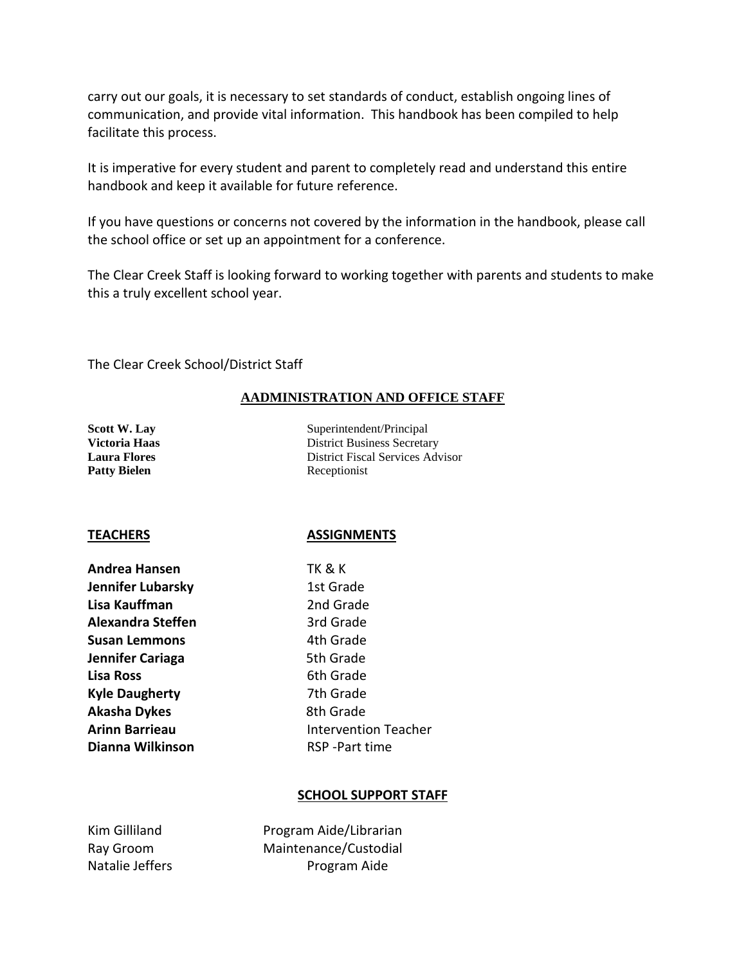carry out our goals, it is necessary to set standards of conduct, establish ongoing lines of communication, and provide vital information. This handbook has been compiled to help facilitate this process.

It is imperative for every student and parent to completely read and understand this entire handbook and keep it available for future reference.

If you have questions or concerns not covered by the information in the handbook, please call the school office or set up an appointment for a conference.

The Clear Creek Staff is looking forward to working together with parents and students to make this a truly excellent school year.

The Clear Creek School/District Staff

### **AADMINISTRATION AND OFFICE STAFF**

Patty Bielen Receptionist

**Scott W. Lay** Superintendent/Principal **Victoria Haas** District Business Secretary **Laura Flores** District Fiscal Services Advisor

#### **TEACHERS ASSIGNMENTS**

| <b>Andrea Hansen</b>     |
|--------------------------|
| <b>Jennifer Lubarsky</b> |
| Lisa Kauffman            |
| <b>Alexandra Steffen</b> |
| Susan Lemmons            |
| Jennifer Cariaga         |
| <b>Lisa Ross</b>         |
| <b>Kyle Daugherty</b>    |
| <b>Akasha Dykes</b>      |
| <b>Arinn Barrieau</b>    |
| Dianna Wilkinson         |

**Andrea Hansen** TK & K **1st Grade** 2nd Grade **Ard Grade 4th Grade Jennifer Cariaga** 5th Grade **6th Grade 7th Grade 8th Grade Intervention Teacher RSP** -Part time

#### **SCHOOL SUPPORT STAFF**

| Kim Gilliland   | Pro |
|-----------------|-----|
| Ray Groom       | Mai |
| Natalie Jeffers |     |

gram Aide/Librarian ntenance/Custodial Program Aide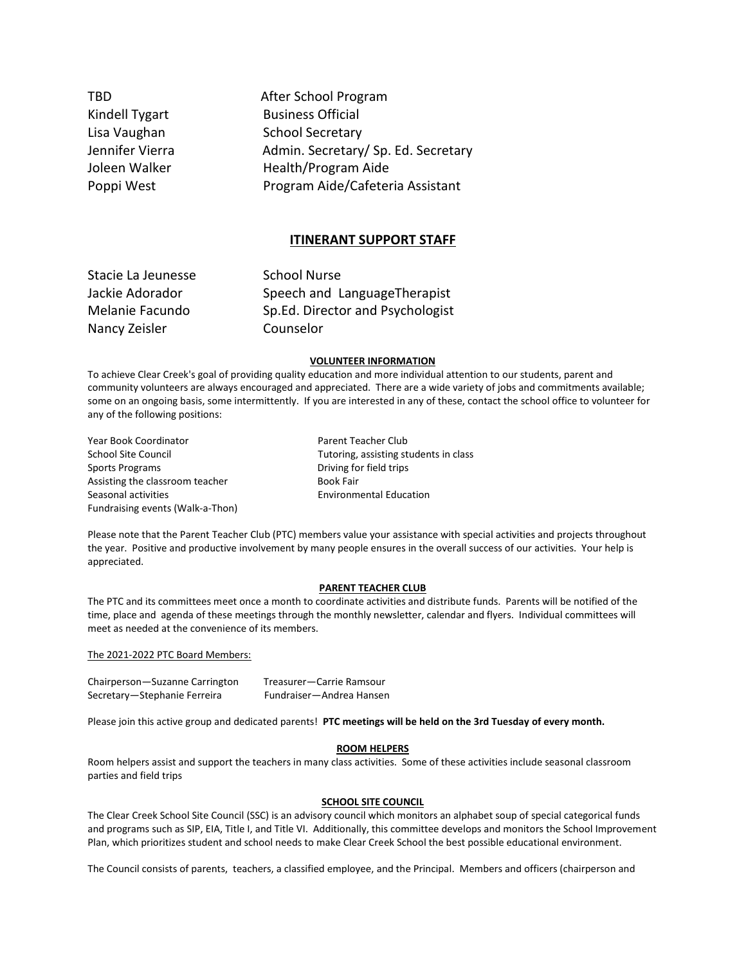TBD **After School Program** Kindell Tygart Business Official Lisa Vaughan School Secretary Jennifer Vierra **Admin.** Secretary/ Sp. Ed. Secretary Joleen Walker Health/Program Aide Poppi West Program Aide/Cafeteria Assistant

#### **ITINERANT SUPPORT STAFF**

| Stacie La Jeunesse | <b>School Nurse</b>              |
|--------------------|----------------------------------|
| Jackie Adorador    | Speech and LanguageTherapist     |
| Melanie Facundo    | Sp.Ed. Director and Psychologist |
| Nancy Zeisler      | Counselor                        |

#### **VOLUNTEER INFORMATION**

To achieve Clear Creek's goal of providing quality education and more individual attention to our students, parent and community volunteers are always encouraged and appreciated. There are a wide variety of jobs and commitments available; some on an ongoing basis, some intermittently. If you are interested in any of these, contact the school office to volunteer for any of the following positions:

Year Book Coordinator **Parent Teacher Club** School Site Council **Tutoring**, assisting students in class Sports Programs **Driving for field trips** Assisting the classroom teacher **Book Fair** Seasonal activities Environmental Education Fundraising events (Walk-a-Thon)

Please note that the Parent Teacher Club (PTC) members value your assistance with special activities and projects throughout the year. Positive and productive involvement by many people ensures in the overall success of our activities. Your help is appreciated.

#### **PARENT TEACHER CLUB**

The PTC and its committees meet once a month to coordinate activities and distribute funds. Parents will be notified of the time, place and agenda of these meetings through the monthly newsletter, calendar and flyers. Individual committees will meet as needed at the convenience of its members.

The 2021-2022 PTC Board Members:

Chairperson—Suzanne Carrington Treasurer—Carrie Ramsour Secretary—Stephanie Ferreira Fundraiser—Andrea Hansen

Please join this active group and dedicated parents! **PTC meetings will be held on the 3rd Tuesday of every month.** 

#### **ROOM HELPERS**

Room helpers assist and support the teachers in many class activities. Some of these activities include seasonal classroom parties and field trips

#### **SCHOOL SITE COUNCIL**

The Clear Creek School Site Council (SSC) is an advisory council which monitors an alphabet soup of special categorical funds and programs such as SIP, EIA, Title I, and Title VI. Additionally, this committee develops and monitors the School Improvement Plan, which prioritizes student and school needs to make Clear Creek School the best possible educational environment.

The Council consists of parents, teachers, a classified employee, and the Principal. Members and officers (chairperson and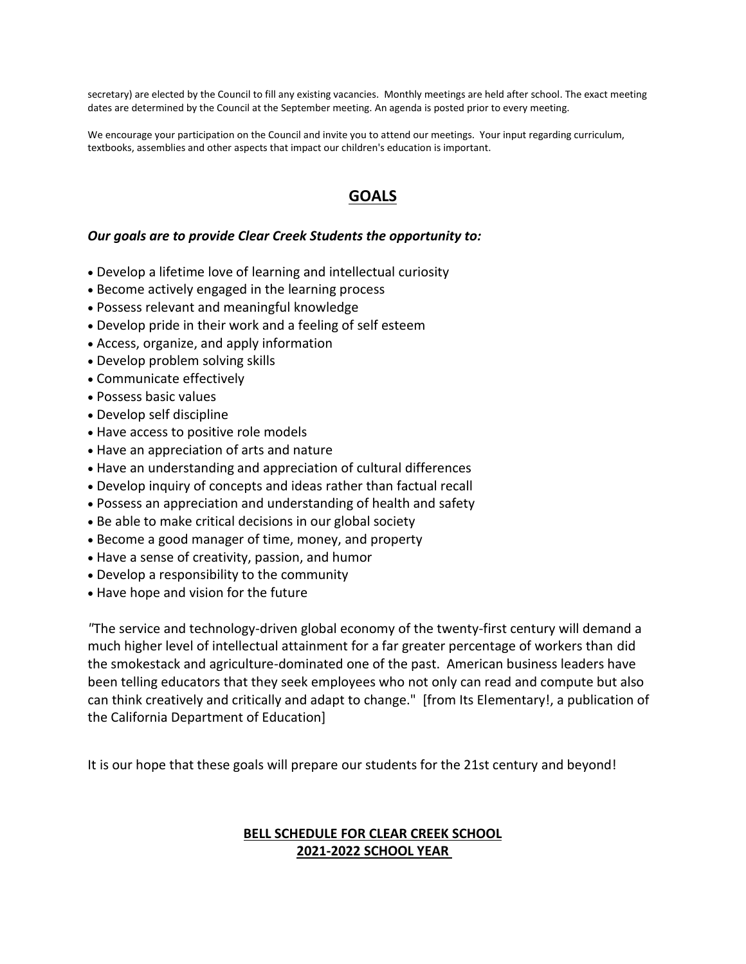secretary) are elected by the Council to fill any existing vacancies. Monthly meetings are held after school. The exact meeting dates are determined by the Council at the September meeting. An agenda is posted prior to every meeting.

We encourage your participation on the Council and invite you to attend our meetings. Your input regarding curriculum, textbooks, assemblies and other aspects that impact our children's education is important.

## **GOALS**

#### *Our goals are to provide Clear Creek Students the opportunity to:*

- Develop a lifetime love of learning and intellectual curiosity
- Become actively engaged in the learning process
- Possess relevant and meaningful knowledge
- Develop pride in their work and a feeling of self esteem
- Access, organize, and apply information
- Develop problem solving skills
- Communicate effectively
- Possess basic values
- Develop self discipline
- Have access to positive role models
- Have an appreciation of arts and nature
- Have an understanding and appreciation of cultural differences
- Develop inquiry of concepts and ideas rather than factual recall
- Possess an appreciation and understanding of health and safety
- Be able to make critical decisions in our global society
- Become a good manager of time, money, and property
- Have a sense of creativity, passion, and humor
- Develop a responsibility to the community
- Have hope and vision for the future

*"*The service and technology-driven global economy of the twenty-first century will demand a much higher level of intellectual attainment for a far greater percentage of workers than did the smokestack and agriculture-dominated one of the past. American business leaders have been telling educators that they seek employees who not only can read and compute but also can think creatively and critically and adapt to change." [from Its Elementary!, a publication of the California Department of Education]

It is our hope that these goals will prepare our students for the 21st century and beyond!

## **BELL SCHEDULE FOR CLEAR CREEK SCHOOL 2021-2022 SCHOOL YEAR**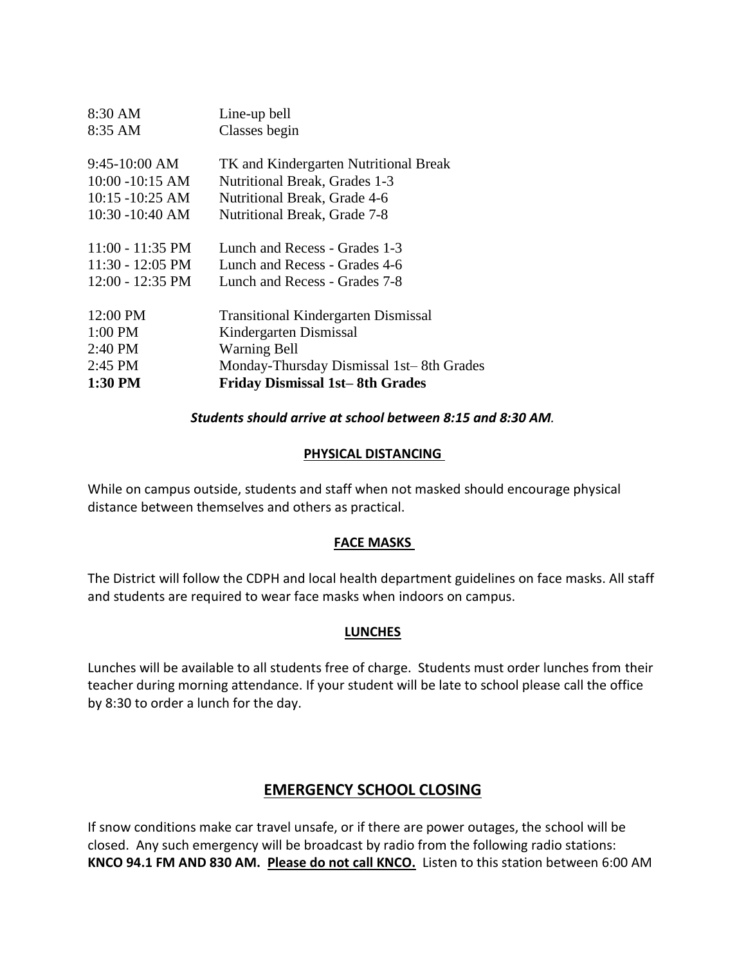| 8:30 AM                    | Line-up bell                               |
|----------------------------|--------------------------------------------|
| 8:35 AM                    | Classes begin                              |
|                            |                                            |
| $9:45-10:00$ AM            | TK and Kindergarten Nutritional Break      |
| $10:00 - 10:15$ AM         | <b>Nutritional Break, Grades 1-3</b>       |
| $10:15 - 10:25$ AM         | Nutritional Break, Grade 4-6               |
| $10:30 - 10:40$ AM         | Nutritional Break, Grade 7-8               |
|                            |                                            |
| $11:00 - 11:35 \text{ PM}$ | Lunch and Recess - Grades 1-3              |
| $11:30 - 12:05 \text{ PM}$ | Lunch and Recess - Grades 4-6              |
| $12:00 - 12:35 \text{ PM}$ | Lunch and Recess - Grades 7-8              |
|                            |                                            |
| 12:00 PM                   | <b>Transitional Kindergarten Dismissal</b> |
| $1:00$ PM                  | Kindergarten Dismissal                     |
| 2:40 PM                    | <b>Warning Bell</b>                        |
| $2:45$ PM                  | Monday-Thursday Dismissal 1st-8th Grades   |
| 1:30 PM                    | <b>Friday Dismissal 1st-8th Grades</b>     |

### *Students should arrive at school between 8:15 and 8:30 AM.*

#### **PHYSICAL DISTANCING**

While on campus outside, students and staff when not masked should encourage physical distance between themselves and others as practical.

## **FACE MASKS**

The District will follow the CDPH and local health department guidelines on face masks. All staff and students are required to wear face masks when indoors on campus.

#### **LUNCHES**

Lunches will be available to all students free of charge. Students must order lunches from their teacher during morning attendance. If your student will be late to school please call the office by 8:30 to order a lunch for the day.

## **EMERGENCY SCHOOL CLOSING**

If snow conditions make car travel unsafe, or if there are power outages, the school will be closed. Any such emergency will be broadcast by radio from the following radio stations: **KNCO 94.1 FM AND 830 AM. Please do not call KNCO.** Listen to this station between 6:00 AM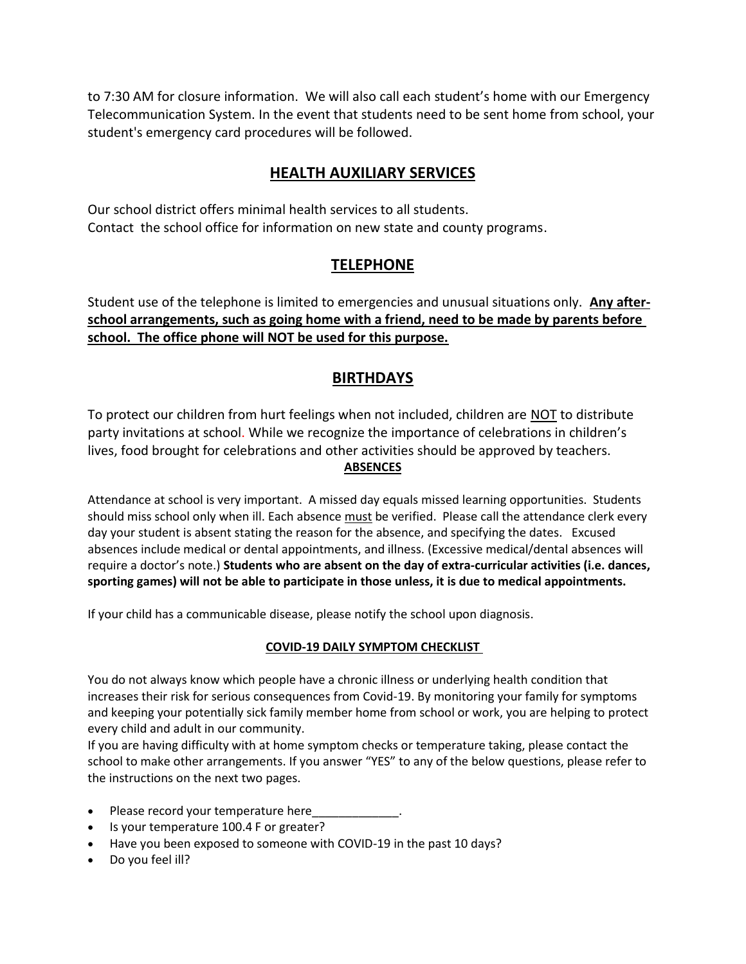to 7:30 AM for closure information. We will also call each student's home with our Emergency Telecommunication System. In the event that students need to be sent home from school, your student's emergency card procedures will be followed.

## **HEALTH AUXILIARY SERVICES**

Our school district offers minimal health services to all students. Contact the school office for information on new state and county programs.

## **TELEPHONE**

Student use of the telephone is limited to emergencies and unusual situations only. **Any afterschool arrangements, such as going home with a friend, need to be made by parents before school. The office phone will NOT be used for this purpose.**

## **BIRTHDAYS**

To protect our children from hurt feelings when not included, children are NOT to distribute party invitations at school. While we recognize the importance of celebrations in children's lives, food brought for celebrations and other activities should be approved by teachers. **ABSENCES**

Attendance at school is very important. A missed day equals missed learning opportunities. Students should miss school only when ill. Each absence must be verified. Please call the attendance clerk every day your student is absent stating the reason for the absence, and specifying the dates. Excused absences include medical or dental appointments, and illness. (Excessive medical/dental absences will require a doctor's note.) **Students who are absent on the day of extra-curricular activities (i.e. dances, sporting games) will not be able to participate in those unless, it is due to medical appointments.** 

If your child has a communicable disease, please notify the school upon diagnosis.

#### **COVID-19 DAILY SYMPTOM CHECKLIST**

You do not always know which people have a chronic illness or underlying health condition that increases their risk for serious consequences from Covid-19. By monitoring your family for symptoms and keeping your potentially sick family member home from school or work, you are helping to protect every child and adult in our community.

If you are having difficulty with at home symptom checks or temperature taking, please contact the school to make other arrangements. If you answer "YES" to any of the below questions, please refer to the instructions on the next two pages.

- Please record your temperature here
- Is your temperature 100.4 F or greater?
- Have you been exposed to someone with COVID-19 in the past 10 days?
- Do you feel ill?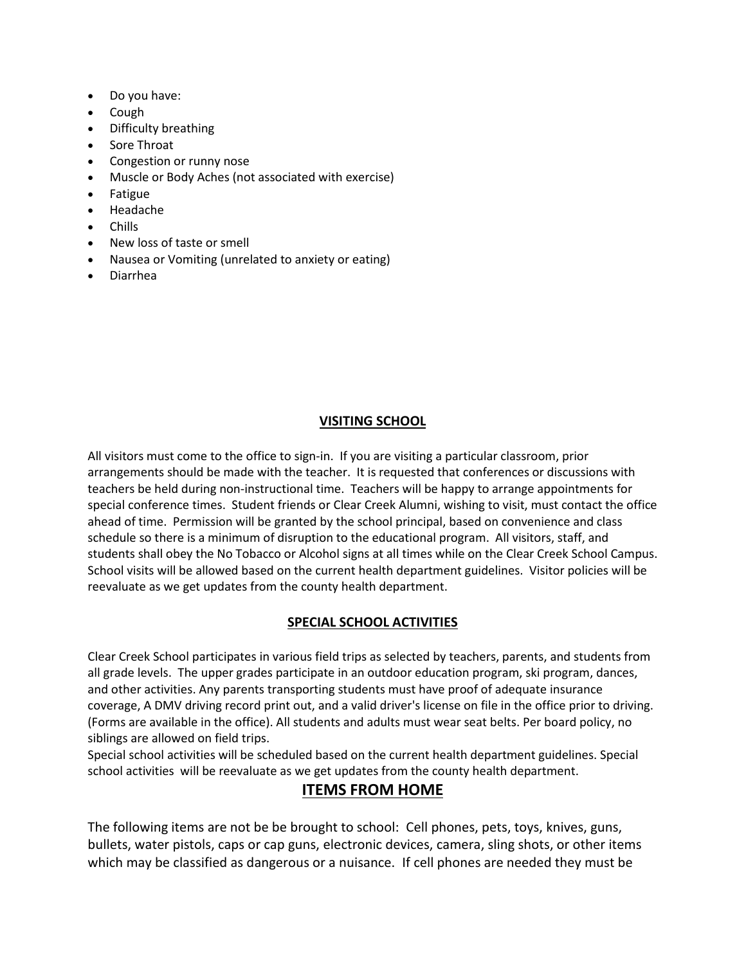- Do you have:
- Cough
- Difficulty breathing
- Sore Throat
- Congestion or runny nose
- Muscle or Body Aches (not associated with exercise)
- Fatigue
- Headache
- Chills
- New loss of taste or smell
- Nausea or Vomiting (unrelated to anxiety or eating)
- Diarrhea

#### **VISITING SCHOOL**

All visitors must come to the office to sign-in. If you are visiting a particular classroom, prior arrangements should be made with the teacher. It is requested that conferences or discussions with teachers be held during non-instructional time. Teachers will be happy to arrange appointments for special conference times. Student friends or Clear Creek Alumni, wishing to visit, must contact the office ahead of time. Permission will be granted by the school principal, based on convenience and class schedule so there is a minimum of disruption to the educational program. All visitors, staff, and students shall obey the No Tobacco or Alcohol signs at all times while on the Clear Creek School Campus. School visits will be allowed based on the current health department guidelines. Visitor policies will be reevaluate as we get updates from the county health department.

#### **SPECIAL SCHOOL ACTIVITIES**

Clear Creek School participates in various field trips as selected by teachers, parents, and students from all grade levels. The upper grades participate in an outdoor education program, ski program, dances, and other activities. Any parents transporting students must have proof of adequate insurance coverage, A DMV driving record print out, and a valid driver's license on file in the office prior to driving. (Forms are available in the office). All students and adults must wear seat belts. Per board policy, no siblings are allowed on field trips.

Special school activities will be scheduled based on the current health department guidelines. Special school activities will be reevaluate as we get updates from the county health department.

## **ITEMS FROM HOME**

The following items are not be be brought to school: Cell phones, pets, toys, knives, guns, bullets, water pistols, caps or cap guns, electronic devices, camera, sling shots, or other items which may be classified as dangerous or a nuisance. If cell phones are needed they must be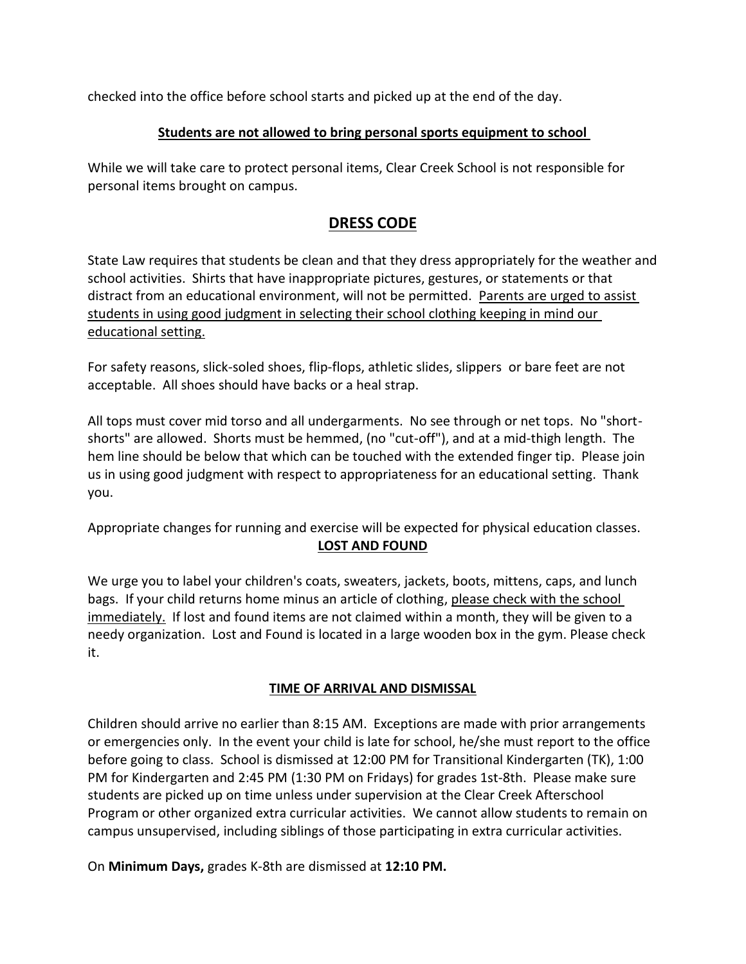checked into the office before school starts and picked up at the end of the day.

## **Students are not allowed to bring personal sports equipment to school**

While we will take care to protect personal items, Clear Creek School is not responsible for personal items brought on campus.

## **DRESS CODE**

State Law requires that students be clean and that they dress appropriately for the weather and school activities. Shirts that have inappropriate pictures, gestures, or statements or that distract from an educational environment, will not be permitted. Parents are urged to assist students in using good judgment in selecting their school clothing keeping in mind our educational setting.

For safety reasons, slick-soled shoes, flip-flops, athletic slides, slippers or bare feet are not acceptable. All shoes should have backs or a heal strap.

All tops must cover mid torso and all undergarments. No see through or net tops. No "shortshorts" are allowed. Shorts must be hemmed, (no "cut-off"), and at a mid-thigh length. The hem line should be below that which can be touched with the extended finger tip. Please join us in using good judgment with respect to appropriateness for an educational setting. Thank you.

Appropriate changes for running and exercise will be expected for physical education classes. **LOST AND FOUND**

We urge you to label your children's coats, sweaters, jackets, boots, mittens, caps, and lunch bags. If your child returns home minus an article of clothing, please check with the school immediately. If lost and found items are not claimed within a month, they will be given to a needy organization. Lost and Found is located in a large wooden box in the gym. Please check it.

## **TIME OF ARRIVAL AND DISMISSAL**

Children should arrive no earlier than 8:15 AM. Exceptions are made with prior arrangements or emergencies only. In the event your child is late for school, he/she must report to the office before going to class. School is dismissed at 12:00 PM for Transitional Kindergarten (TK), 1:00 PM for Kindergarten and 2:45 PM (1:30 PM on Fridays) for grades 1st-8th. Please make sure students are picked up on time unless under supervision at the Clear Creek Afterschool Program or other organized extra curricular activities. We cannot allow students to remain on campus unsupervised, including siblings of those participating in extra curricular activities.

On **Minimum Days,** grades K-8th are dismissed at **12:10 PM.**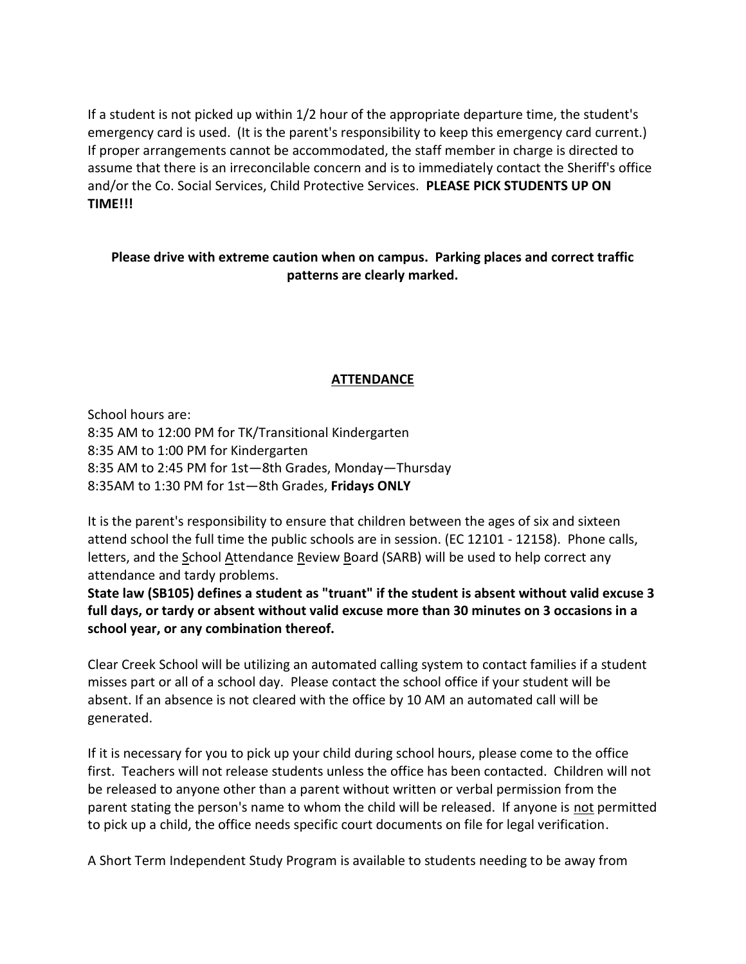If a student is not picked up within 1/2 hour of the appropriate departure time, the student's emergency card is used. (It is the parent's responsibility to keep this emergency card current.) If proper arrangements cannot be accommodated, the staff member in charge is directed to assume that there is an irreconcilable concern and is to immediately contact the Sheriff's office and/or the Co. Social Services, Child Protective Services. **PLEASE PICK STUDENTS UP ON TIME!!!**

## **Please drive with extreme caution when on campus. Parking places and correct traffic patterns are clearly marked.**

### **ATTENDANCE**

School hours are: 8:35 AM to 12:00 PM for TK/Transitional Kindergarten 8:35 AM to 1:00 PM for Kindergarten 8:35 AM to 2:45 PM for 1st—8th Grades, Monday—Thursday 8:35AM to 1:30 PM for 1st—8th Grades, **Fridays ONLY** 

It is the parent's responsibility to ensure that children between the ages of six and sixteen attend school the full time the public schools are in session. (EC 12101 - 12158). Phone calls, letters, and the School Attendance Review Board (SARB) will be used to help correct any attendance and tardy problems.

**State law (SB105) defines a student as "truant" if the student is absent without valid excuse 3 full days, or tardy or absent without valid excuse more than 30 minutes on 3 occasions in a school year, or any combination thereof.**

Clear Creek School will be utilizing an automated calling system to contact families if a student misses part or all of a school day. Please contact the school office if your student will be absent. If an absence is not cleared with the office by 10 AM an automated call will be generated.

If it is necessary for you to pick up your child during school hours, please come to the office first. Teachers will not release students unless the office has been contacted. Children will not be released to anyone other than a parent without written or verbal permission from the parent stating the person's name to whom the child will be released. If anyone is not permitted to pick up a child, the office needs specific court documents on file for legal verification.

A Short Term Independent Study Program is available to students needing to be away from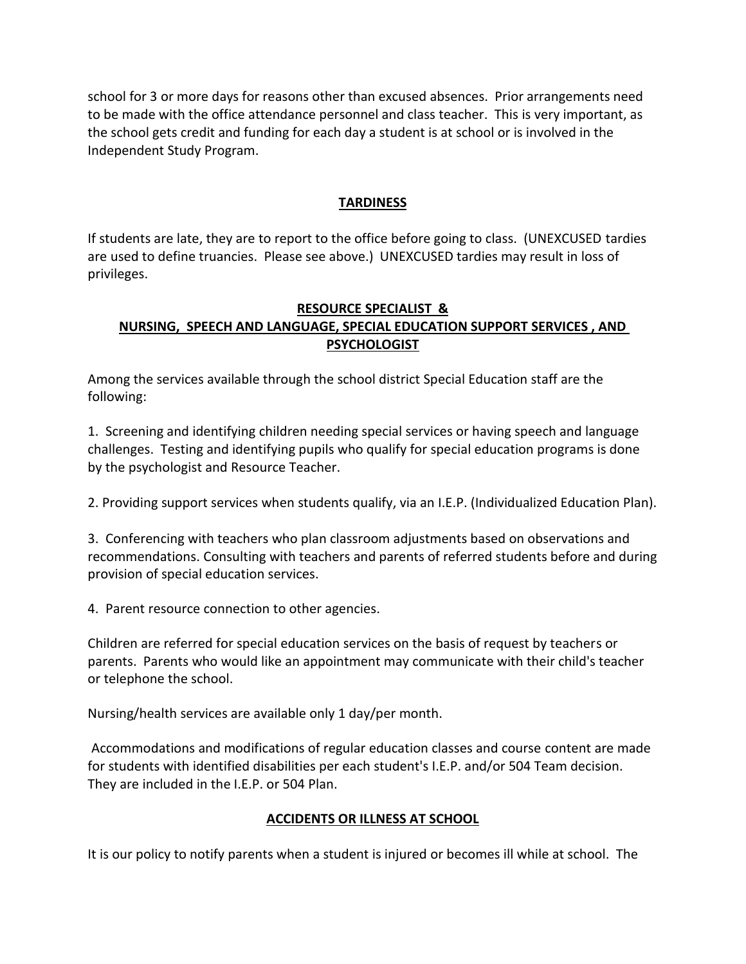school for 3 or more days for reasons other than excused absences. Prior arrangements need to be made with the office attendance personnel and class teacher. This is very important, as the school gets credit and funding for each day a student is at school or is involved in the Independent Study Program.

#### **TARDINESS**

If students are late, they are to report to the office before going to class. (UNEXCUSED tardies are used to define truancies. Please see above.) UNEXCUSED tardies may result in loss of privileges.

## **RESOURCE SPECIALIST & NURSING, SPEECH AND LANGUAGE, SPECIAL EDUCATION SUPPORT SERVICES , AND PSYCHOLOGIST**

Among the services available through the school district Special Education staff are the following:

1. Screening and identifying children needing special services or having speech and language challenges. Testing and identifying pupils who qualify for special education programs is done by the psychologist and Resource Teacher.

2. Providing support services when students qualify, via an I.E.P. (Individualized Education Plan).

3. Conferencing with teachers who plan classroom adjustments based on observations and recommendations. Consulting with teachers and parents of referred students before and during provision of special education services.

4. Parent resource connection to other agencies.

Children are referred for special education services on the basis of request by teachers or parents. Parents who would like an appointment may communicate with their child's teacher or telephone the school.

Nursing/health services are available only 1 day/per month.

Accommodations and modifications of regular education classes and course content are made for students with identified disabilities per each student's I.E.P. and/or 504 Team decision. They are included in the I.E.P. or 504 Plan.

#### **ACCIDENTS OR ILLNESS AT SCHOOL**

It is our policy to notify parents when a student is injured or becomes ill while at school. The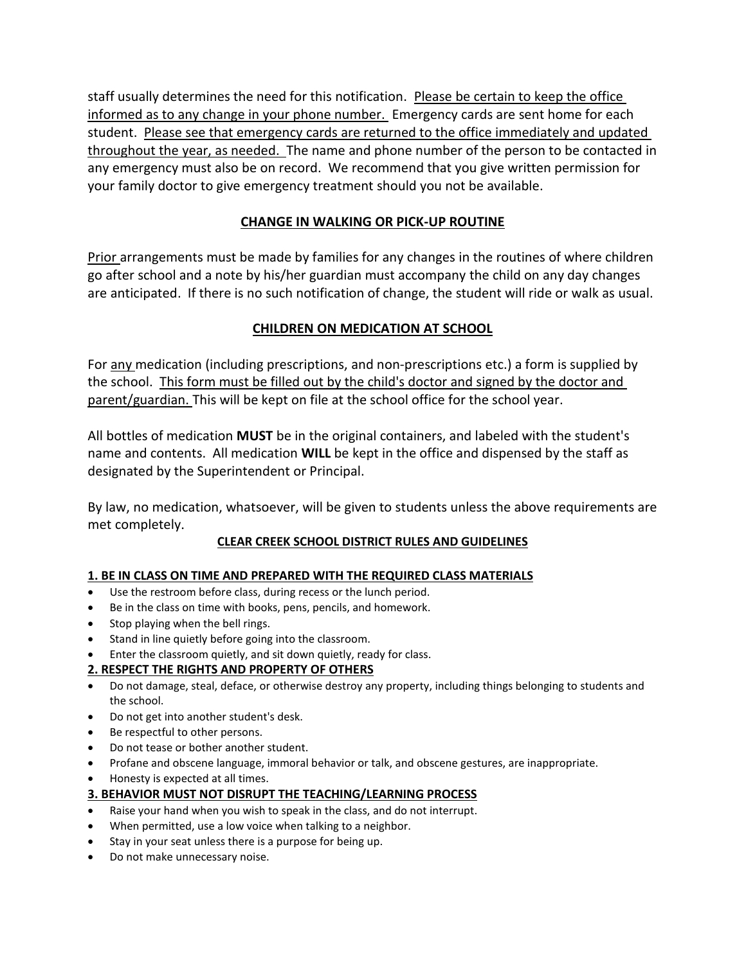staff usually determines the need for this notification. Please be certain to keep the office informed as to any change in your phone number. Emergency cards are sent home for each student. Please see that emergency cards are returned to the office immediately and updated throughout the year, as needed. The name and phone number of the person to be contacted in any emergency must also be on record. We recommend that you give written permission for your family doctor to give emergency treatment should you not be available.

## **CHANGE IN WALKING OR PICK-UP ROUTINE**

**Prior arrangements must be made by families for any changes in the routines of where children** go after school and a note by his/her guardian must accompany the child on any day changes are anticipated. If there is no such notification of change, the student will ride or walk as usual.

## **CHILDREN ON MEDICATION AT SCHOOL**

For any medication (including prescriptions, and non-prescriptions etc.) a form is supplied by the school. This form must be filled out by the child's doctor and signed by the doctor and parent/guardian. This will be kept on file at the school office for the school year.

All bottles of medication **MUST** be in the original containers, and labeled with the student's name and contents. All medication **WILL** be kept in the office and dispensed by the staff as designated by the Superintendent or Principal.

By law, no medication, whatsoever, will be given to students unless the above requirements are met completely.

## **CLEAR CREEK SCHOOL DISTRICT RULES AND GUIDELINES**

#### **1. BE IN CLASS ON TIME AND PREPARED WITH THE REQUIRED CLASS MATERIALS**

- Use the restroom before class, during recess or the lunch period.
- Be in the class on time with books, pens, pencils, and homework.
- Stop playing when the bell rings.
- Stand in line quietly before going into the classroom.
- Enter the classroom quietly, and sit down quietly, ready for class.

#### **2. RESPECT THE RIGHTS AND PROPERTY OF OTHERS**

- Do not damage, steal, deface, or otherwise destroy any property, including things belonging to students and the school.
- Do not get into another student's desk.
- Be respectful to other persons.
- Do not tease or bother another student.
- Profane and obscene language, immoral behavior or talk, and obscene gestures, are inappropriate.
- Honesty is expected at all times.

#### **3. BEHAVIOR MUST NOT DISRUPT THE TEACHING/LEARNING PROCESS**

- Raise your hand when you wish to speak in the class, and do not interrupt.
- When permitted, use a low voice when talking to a neighbor.
- Stay in your seat unless there is a purpose for being up.
- Do not make unnecessary noise.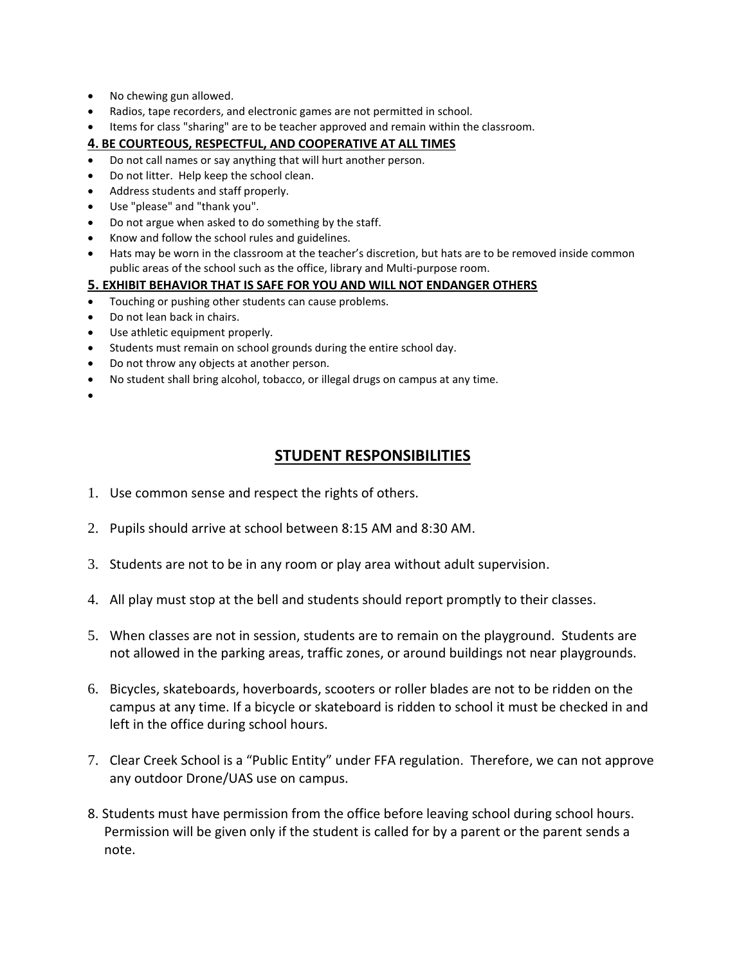- No chewing gun allowed.
- Radios, tape recorders, and electronic games are not permitted in school.
- Items for class "sharing" are to be teacher approved and remain within the classroom.

#### **4. BE COURTEOUS, RESPECTFUL, AND COOPERATIVE AT ALL TIMES**

- Do not call names or say anything that will hurt another person.
- Do not litter. Help keep the school clean.
- Address students and staff properly.
- Use "please" and "thank you".
- Do not argue when asked to do something by the staff.
- Know and follow the school rules and guidelines.
- Hats may be worn in the classroom at the teacher's discretion, but hats are to be removed inside common public areas of the school such as the office, library and Multi-purpose room.

#### **5. EXHIBIT BEHAVIOR THAT IS SAFE FOR YOU AND WILL NOT ENDANGER OTHERS**

- Touching or pushing other students can cause problems.
- Do not lean back in chairs.
- Use athletic equipment properly.
- Students must remain on school grounds during the entire school day.
- Do not throw any objects at another person.
- No student shall bring alcohol, tobacco, or illegal drugs on campus at any time.
- $\bullet$

## **STUDENT RESPONSIBILITIES**

- 1. Use common sense and respect the rights of others.
- 2. Pupils should arrive at school between 8:15 AM and 8:30 AM.
- 3. Students are not to be in any room or play area without adult supervision.
- 4. All play must stop at the bell and students should report promptly to their classes.
- 5. When classes are not in session, students are to remain on the playground. Students are not allowed in the parking areas, traffic zones, or around buildings not near playgrounds.
- 6. Bicycles, skateboards, hoverboards, scooters or roller blades are not to be ridden on the campus at any time. If a bicycle or skateboard is ridden to school it must be checked in and left in the office during school hours.
- 7. Clear Creek School is a "Public Entity" under FFA regulation. Therefore, we can not approve any outdoor Drone/UAS use on campus.
- 8. Students must have permission from the office before leaving school during school hours. Permission will be given only if the student is called for by a parent or the parent sends a note.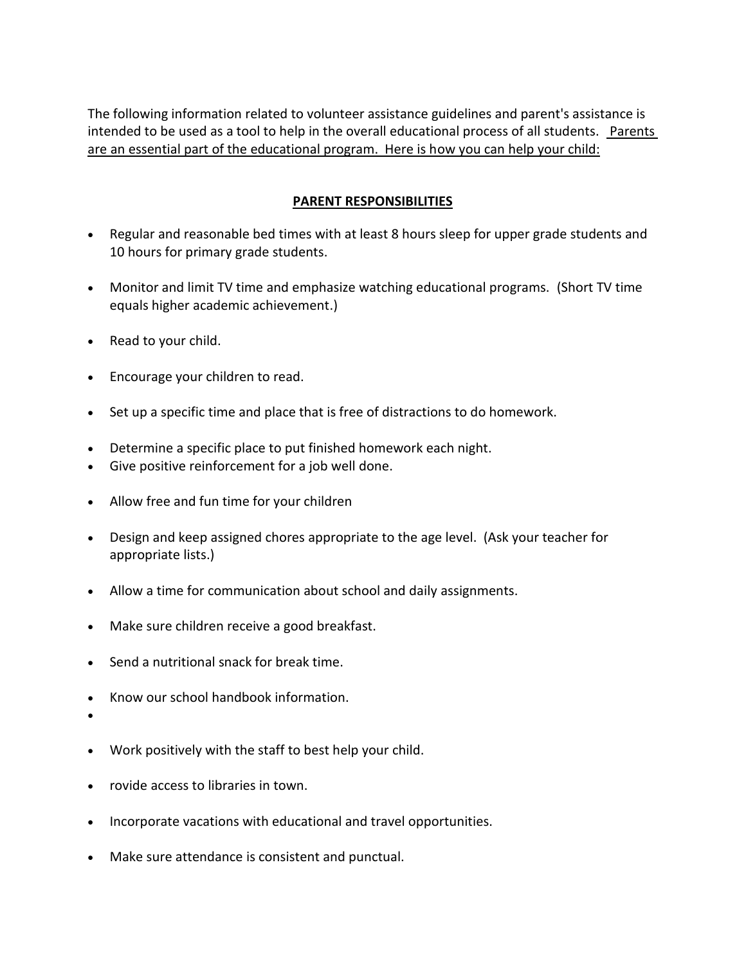The following information related to volunteer assistance guidelines and parent's assistance is intended to be used as a tool to help in the overall educational process of all students. Parents are an essential part of the educational program. Here is how you can help your child:

#### **PARENT RESPONSIBILITIES**

- Regular and reasonable bed times with at least 8 hours sleep for upper grade students and 10 hours for primary grade students.
- Monitor and limit TV time and emphasize watching educational programs. (Short TV time equals higher academic achievement.)
- Read to your child.
- Encourage your children to read.
- Set up a specific time and place that is free of distractions to do homework.
- Determine a specific place to put finished homework each night.
- Give positive reinforcement for a job well done.
- Allow free and fun time for your children
- Design and keep assigned chores appropriate to the age level. (Ask your teacher for appropriate lists.)
- Allow a time for communication about school and daily assignments.
- Make sure children receive a good breakfast.
- Send a nutritional snack for break time.
- Know our school handbook information.
- $\bullet$
- Work positively with the staff to best help your child.
- rovide access to libraries in town.
- Incorporate vacations with educational and travel opportunities.
- Make sure attendance is consistent and punctual.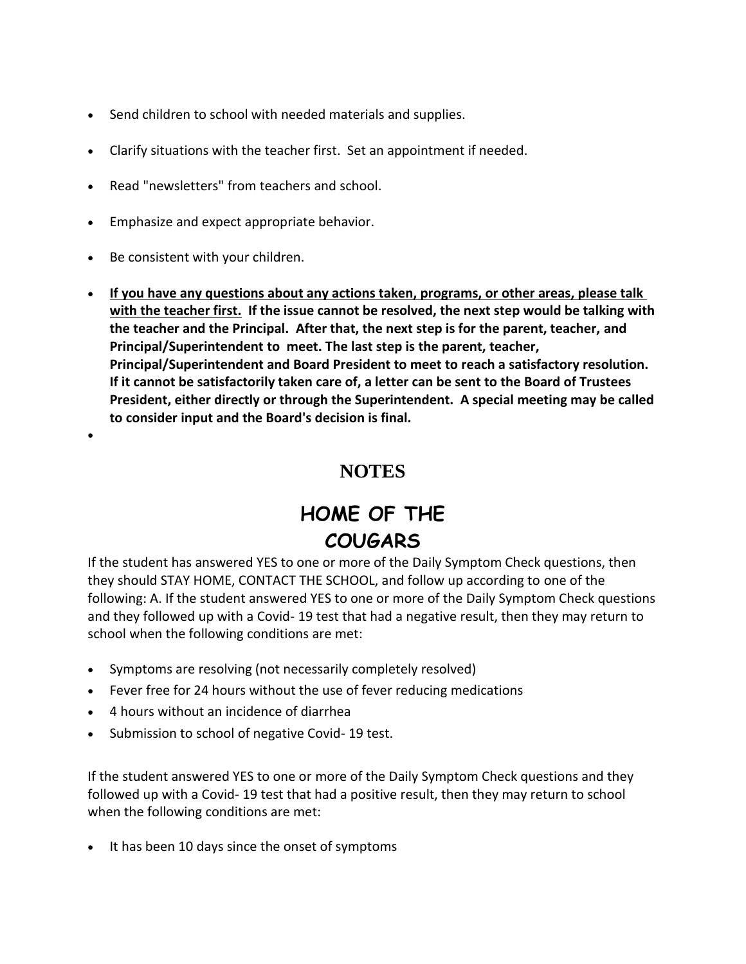- Send children to school with needed materials and supplies.
- Clarify situations with the teacher first. Set an appointment if needed.
- Read "newsletters" from teachers and school.
- Emphasize and expect appropriate behavior.
- Be consistent with your children.

 $\bullet$ 

 **If you have any questions about any actions taken, programs, or other areas, please talk with the teacher first. If the issue cannot be resolved, the next step would be talking with the teacher and the Principal. After that, the next step is for the parent, teacher, and Principal/Superintendent to meet. The last step is the parent, teacher, Principal/Superintendent and Board President to meet to reach a satisfactory resolution. If it cannot be satisfactorily taken care of, a letter can be sent to the Board of Trustees President, either directly or through the Superintendent. A special meeting may be called to consider input and the Board's decision is final.**

## **NOTES**

# **HOME OF THE COUGARS**

If the student has answered YES to one or more of the Daily Symptom Check questions, then they should STAY HOME, CONTACT THE SCHOOL, and follow up according to one of the following: A. If the student answered YES to one or more of the Daily Symptom Check questions and they followed up with a Covid- 19 test that had a negative result, then they may return to school when the following conditions are met:

- Symptoms are resolving (not necessarily completely resolved)
- Fever free for 24 hours without the use of fever reducing medications
- 4 hours without an incidence of diarrhea
- Submission to school of negative Covid-19 test.

If the student answered YES to one or more of the Daily Symptom Check questions and they followed up with a Covid- 19 test that had a positive result, then they may return to school when the following conditions are met:

• It has been 10 days since the onset of symptoms